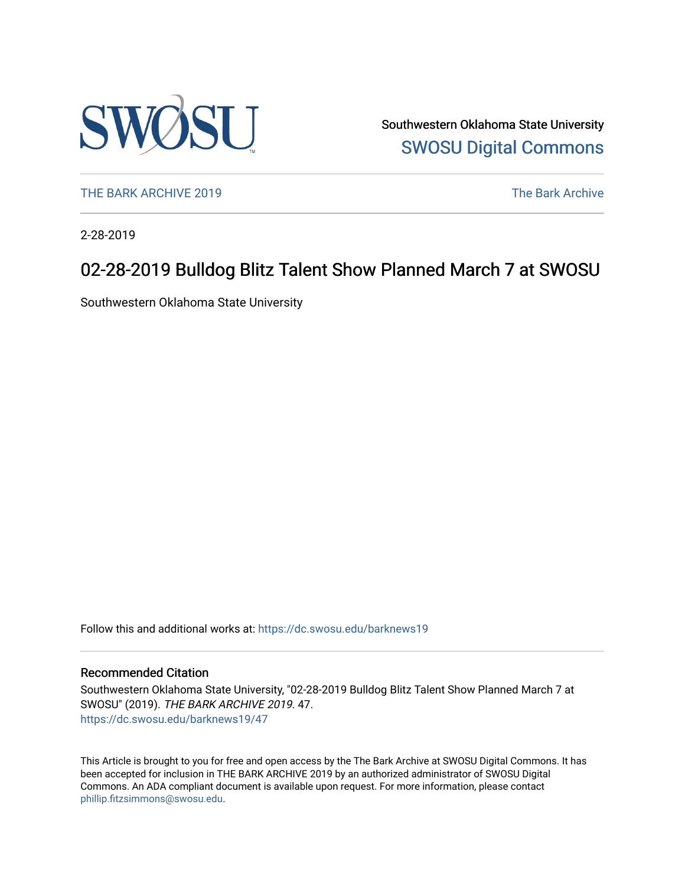

Southwestern Oklahoma State University [SWOSU Digital Commons](https://dc.swosu.edu/) 

[THE BARK ARCHIVE 2019](https://dc.swosu.edu/barknews19) The Bark Archive

2-28-2019

# 02-28-2019 Bulldog Blitz Talent Show Planned March 7 at SWOSU

Southwestern Oklahoma State University

Follow this and additional works at: [https://dc.swosu.edu/barknews19](https://dc.swosu.edu/barknews19?utm_source=dc.swosu.edu%2Fbarknews19%2F47&utm_medium=PDF&utm_campaign=PDFCoverPages)

#### Recommended Citation

Southwestern Oklahoma State University, "02-28-2019 Bulldog Blitz Talent Show Planned March 7 at SWOSU" (2019). THE BARK ARCHIVE 2019. 47. [https://dc.swosu.edu/barknews19/47](https://dc.swosu.edu/barknews19/47?utm_source=dc.swosu.edu%2Fbarknews19%2F47&utm_medium=PDF&utm_campaign=PDFCoverPages) 

This Article is brought to you for free and open access by the The Bark Archive at SWOSU Digital Commons. It has been accepted for inclusion in THE BARK ARCHIVE 2019 by an authorized administrator of SWOSU Digital Commons. An ADA compliant document is available upon request. For more information, please contact [phillip.fitzsimmons@swosu.edu](mailto:phillip.fitzsimmons@swosu.edu).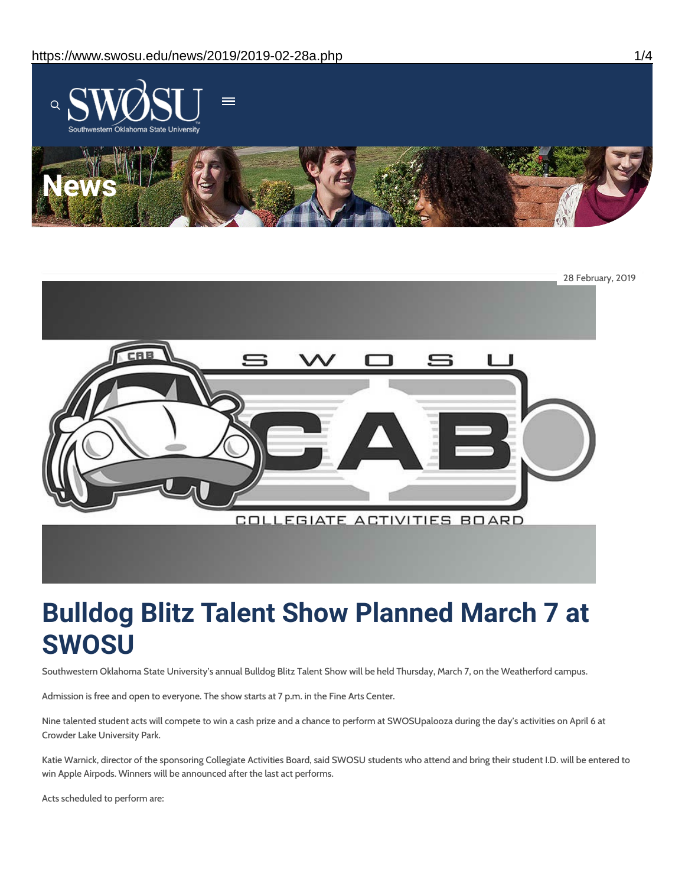

28 February, 2019



# **Bulldog Blitz Talent Show Planned March 7 at SWOSU**

Southwestern Oklahoma State University's annual Bulldog Blitz Talent Show will be held Thursday, March 7, on the Weatherford campus.

Admission is free and open to everyone. The show starts at 7 p.m. in the Fine Arts Center.

Nine talented student acts will compete to win a cash prize and a chance to perform at SWOSUpalooza during the day's activities on April 6 at Crowder Lake University Park.

Katie Warnick, director of the sponsoring Collegiate Activities Board, said SWOSU students who attend and bring their student I.D. will be entered to win Apple Airpods. Winners will be announced after the last act performs.

Acts scheduled to perform are: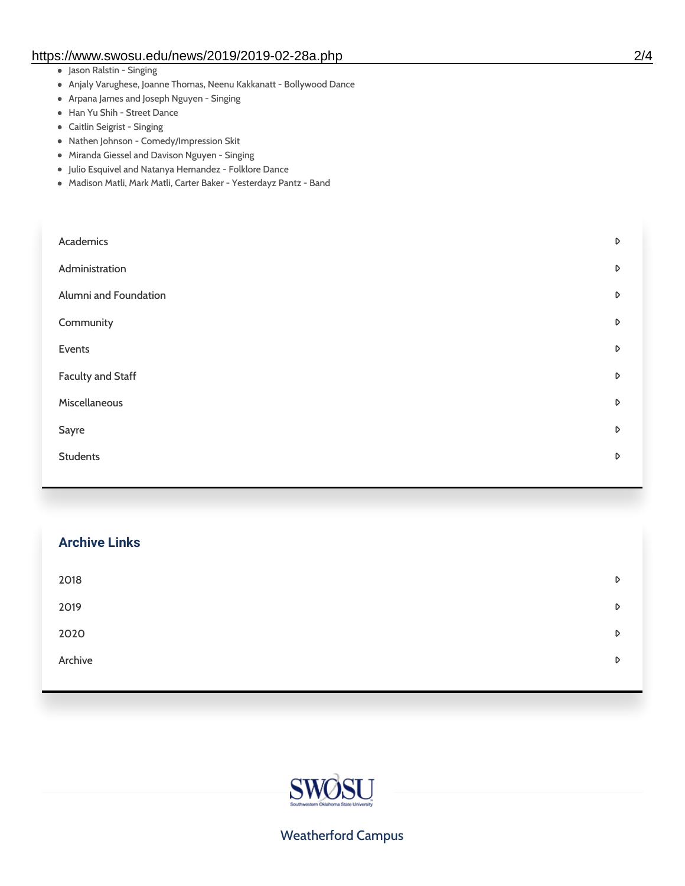#### https://www.swosu.edu/news/2019/2019-02-28a.php 2/4

- Jason Ralstin Singing
- Anjaly Varughese, Joanne Thomas, Neenu Kakkanatt Bollywood Dance
- Arpana James and Joseph Nguyen Singing
- Han Yu Shih Street Dance
- Caitlin Seigrist Singing
- Nathen Johnson Comedy/Impression Skit
- Miranda Giessel and Davison Nguyen Singing
- Julio Esquivel and Natanya Hernandez Folklore Dance
- Madison Matli, Mark Matli, Carter Baker Yesterdayz Pantz Band

| Academics                | D |
|--------------------------|---|
| Administration           | D |
| Alumni and Foundation    | D |
| Community                | D |
| Events                   | D |
| <b>Faculty and Staff</b> | D |
| Miscellaneous            | D |
| Sayre                    | D |
| <b>Students</b>          | D |
|                          |   |

| <b>Archive Links</b> |   |
|----------------------|---|
| 2018                 | D |
| 2019                 | D |
| 2020                 | D |
| Archive              | D |
|                      |   |



### Weatherford Campus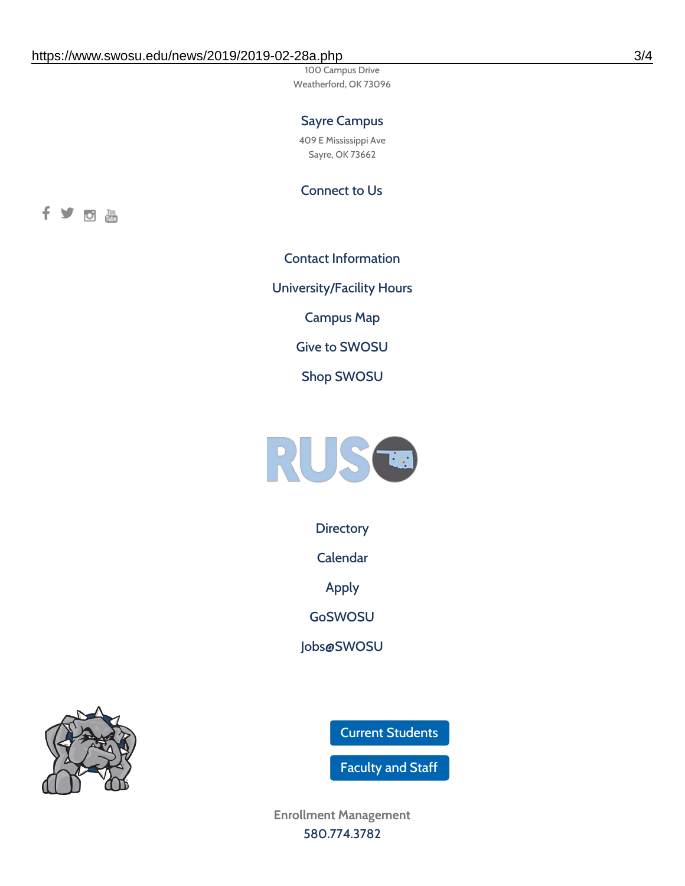100 Campus Drive Weatherford, OK 73096

## Sayre Campus

409 E Mississippi Ave Sayre, OK 73662

Connect to Us



Contact [Information](https://www.swosu.edu/about/contact.php) [University/Facility](https://www.swosu.edu/about/operating-hours.php) Hours [Campus](https://map.concept3d.com/?id=768#!ct/10964,10214,10213,10212,10205,10204,10203,10202,10136,10129,10128,0,31226,10130,10201,10641,0) Map Give to [SWOSU](https://standingfirmly.com/donate) Shop [SWOSU](https://shopswosu.merchorders.com/)



**[Directory](https://www.swosu.edu/directory/index.php)** 

[Calendar](https://eventpublisher.dudesolutions.com/swosu/)

[Apply](https://www.swosu.edu/admissions/apply-to-swosu.php)

[GoSWOSU](https://qlsso.quicklaunchsso.com/home/1267)

[Jobs@SWOSU](https://swosu.csod.com/ux/ats/careersite/1/home?c=swosu)

Current [Students](https://bulldog.swosu.edu/index.php)

[Faculty](https://bulldog.swosu.edu/faculty-staff/index.php) and Staff

**Enrollment Management** [580.774.3782](tel:5807743782)